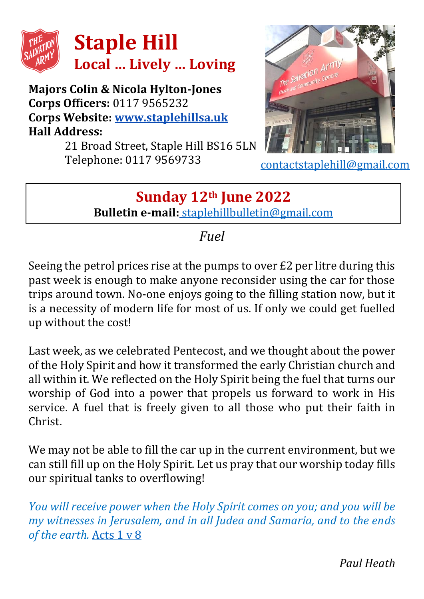

**Majors Colin & Nicola Hylton-Jones Corps Officers:** 0117 9565232 **Corps Website: [www.staplehillsa.uk](http://www.staplehillsa.uk/) Hall Address:**

21 Broad Street, Staple Hill BS16 5LN Telephone: 0117 9569733



[contactstaplehill@gmail.com](mailto:contactstaplehill@gmail.com)

## **Sunday 12th June 2022 Bulletin e-mail:** [staplehillbulletin@gmail.com](mailto:staplehillbulletin@gmail.com)

## *Fuel*

Seeing the petrol prices rise at the pumps to over £2 per litre during this past week is enough to make anyone reconsider using the car for those trips around town. No-one enjoys going to the filling station now, but it is a necessity of modern life for most of us. If only we could get fuelled up without the cost!

Last week, as we celebrated Pentecost, and we thought about the power of the Holy Spirit and how it transformed the early Christian church and all within it. We reflected on the Holy Spirit being the fuel that turns our worship of God into a power that propels us forward to work in His service. A fuel that is freely given to all those who put their faith in Christ.

We may not be able to fill the car up in the current environment, but we can still fill up on the Holy Spirit. Let us pray that our worship today fills our spiritual tanks to overflowing!

*You will receive power when the Holy Spirit comes on you; and you will be my witnesses in Jerusalem, and in all Judea and Samaria, and to the ends of the earth.* [Acts 1 v 8](https://www.biblegateway.com/passage/?search=acts+1%3A8&version=NIV)

*Paul Heath*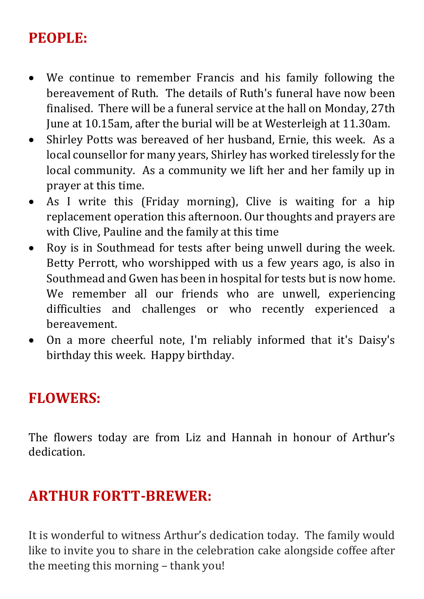## **PEOPLE:**

- We continue to remember Francis and his family following the bereavement of Ruth. The details of Ruth's funeral have now been finalised. There will be a funeral service at the hall on Monday, 27th June at 10.15am, after the burial will be at Westerleigh at 11.30am.
- Shirley Potts was bereaved of her husband, Ernie, this week. As a local counsellor for many years, Shirley has worked tirelessly for the local community. As a community we lift her and her family up in prayer at this time.
- As I write this (Friday morning), Clive is waiting for a hip replacement operation this afternoon. Our thoughts and prayers are with Clive, Pauline and the family at this time
- Roy is in Southmead for tests after being unwell during the week. Betty Perrott, who worshipped with us a few years ago, is also in Southmead and Gwen has been in hospital for tests but is now home. We remember all our friends who are unwell, experiencing difficulties and challenges or who recently experienced a bereavement.
- On a more cheerful note, I'm reliably informed that it's Daisy's birthday this week. Happy birthday.

#### **FLOWERS:**

The flowers today are from Liz and Hannah in honour of Arthur's dedication.

#### **ARTHUR FORTT-BREWER:**

It is wonderful to witness Arthur's dedication today. The family would like to invite you to share in the celebration cake alongside coffee after the meeting this morning – thank you!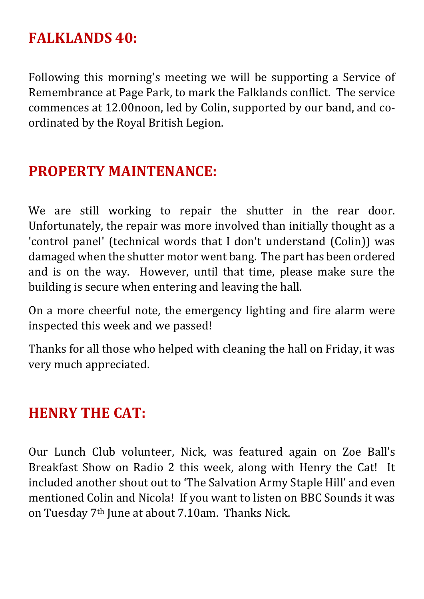#### **FALKLANDS 40:**

Following this morning's meeting we will be supporting a Service of Remembrance at Page Park, to mark the Falklands conflict. The service commences at 12.00noon, led by Colin, supported by our band, and coordinated by the Royal British Legion.

## **PROPERTY MAINTENANCE:**

We are still working to repair the shutter in the rear door. Unfortunately, the repair was more involved than initially thought as a 'control panel' (technical words that I don't understand (Colin)) was damaged when the shutter motor went bang. The part has been ordered and is on the way. However, until that time, please make sure the building is secure when entering and leaving the hall.

On a more cheerful note, the emergency lighting and fire alarm were inspected this week and we passed!

Thanks for all those who helped with cleaning the hall on Friday, it was very much appreciated.

#### **HENRY THE CAT:**

Our Lunch Club volunteer, Nick, was featured again on Zoe Ball's Breakfast Show on Radio 2 this week, along with Henry the Cat! It included another shout out to 'The Salvation Army Staple Hill' and even mentioned Colin and Nicola! If you want to listen on BBC Sounds it was on Tuesday 7<sup>th</sup> June at about 7.10am. Thanks Nick.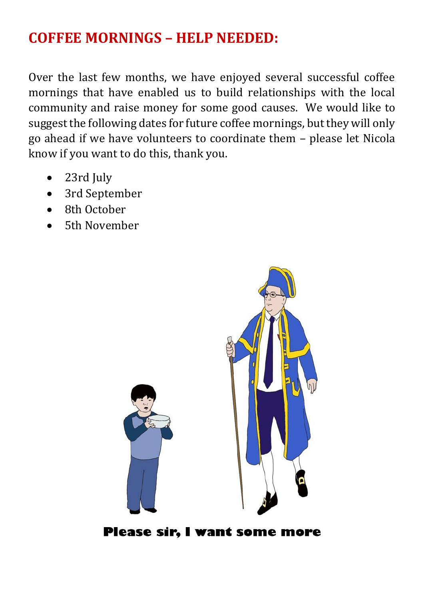## **COFFEE MORNINGS – HELP NEEDED:**

Over the last few months, we have enjoyed several successful coffee mornings that have enabled us to build relationships with the local community and raise money for some good causes. We would like to suggest the following dates for future coffee mornings, but they will only go ahead if we have volunteers to coordinate them – please let Nicola know if you want to do this, thank you.

- 23rd July
- 3rd September
- 8th October
- 5th November



Please sir, I want some more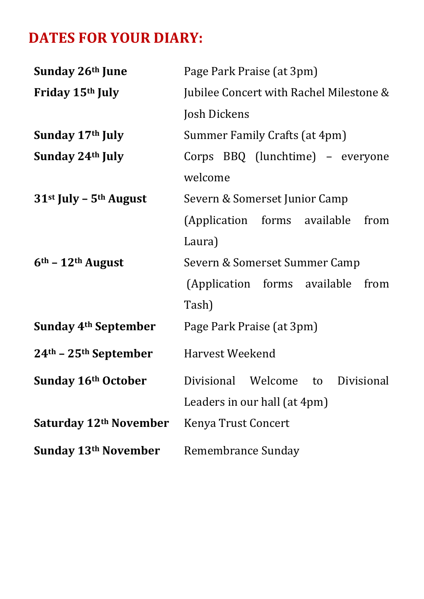# **DATES FOR YOUR DIARY:**

| Sunday 26th June                 | Page Park Praise (at 3pm)               |
|----------------------------------|-----------------------------------------|
| Friday 15th July                 | Jubilee Concert with Rachel Milestone & |
|                                  | Josh Dickens                            |
| Sunday 17th July                 | Summer Family Crafts (at 4pm)           |
| Sunday 24th July                 | Corps BBQ (lunchtime) - everyone        |
|                                  | welcome                                 |
| 31st July - 5th August           | Severn & Somerset Junior Camp           |
|                                  | (Application forms available<br>from    |
|                                  | Laura)                                  |
| $6th - 12th$ August              | Severn & Somerset Summer Camp           |
|                                  | (Application forms available<br>from    |
|                                  | Tash)                                   |
| Sunday 4 <sup>th</sup> September | Page Park Praise (at 3pm)               |
| $24th - 25th$ September          | Harvest Weekend                         |
| Sunday 16th October              | Divisional Welcome to<br>Divisional     |
|                                  | Leaders in our hall (at 4pm)            |
| Saturday 12th November           | Kenya Trust Concert                     |
| Sunday 13th November             | Remembrance Sunday                      |